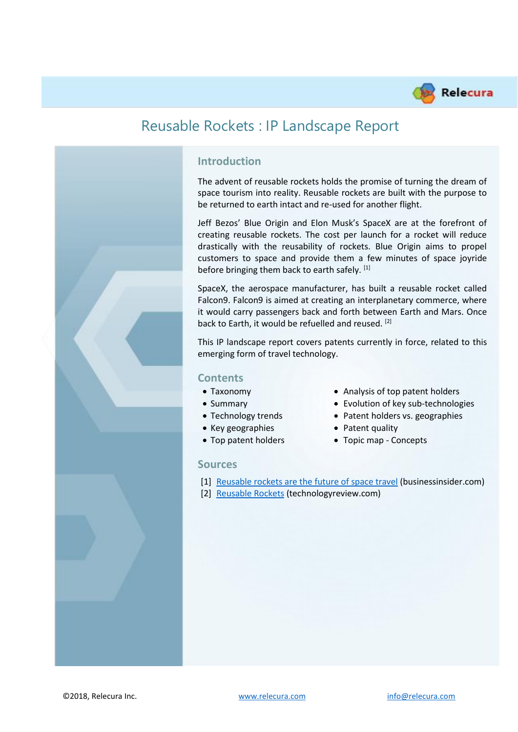

### **Introduction**

The advent of reusable rockets holds the promise of turning the dream of space tourism into reality. Reusable rockets are built with the purpose to be returned to earth intact and re-used for another flight.

Jeff Bezos' Blue Origin and Elon Musk's SpaceX are at the forefront of creating reusable rockets. The cost per launch for a rocket will reduce drastically with the reusability of rockets. Blue Origin aims to propel customers to space and provide them a few minutes of space joyride before bringing them back to earth safely. [1]

SpaceX, the aerospace manufacturer, has built a reusable rocket called Falcon9. Falcon9 is aimed at creating an interplanetary commerce, where it would carry passengers back and forth between Earth and Mars. Once back to Earth, it would be refuelled and reused. [2]

This IP landscape report covers patents currently in force, related to this emerging form of travel technology.

#### **Contents**

- 
- 
- 
- Key geographies Patent quality
- 

#### **Sources**

- Taxonomy Analysis of top patent holders
- Summary Evolution of key sub-technologies
- Technology trends Patent holders vs. geographies
	-
- Top patent holders Topic map Concepts
- [1] [Reusable rockets are the future of space travel](https://www.businessinsider.com/reusable-rockets-are-the-future-of-space-travel-2017-5?IR=T) (businessinsider.com)
- [2] [Reusable Rockets](https://www.technologyreview.com/s/600767/10-breakthrough-technologies-2016-reusable-rockets/) (technologyreview.com)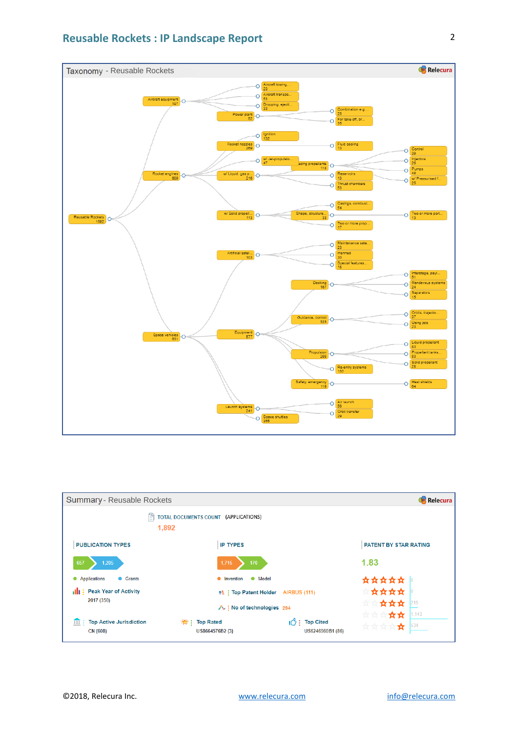

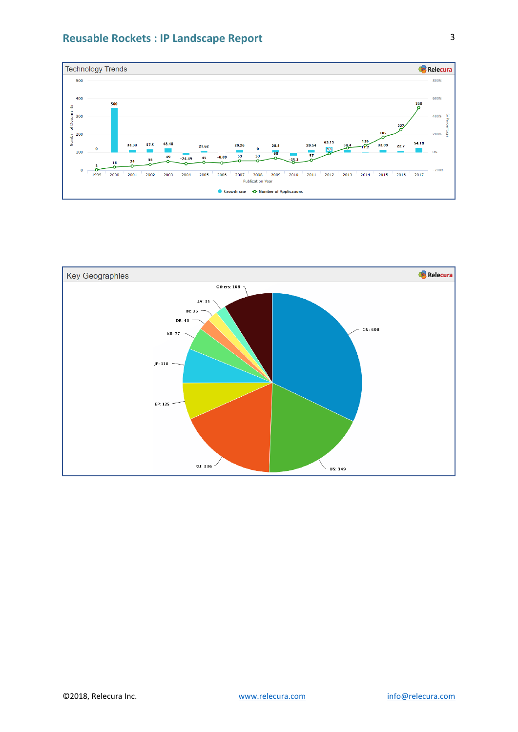



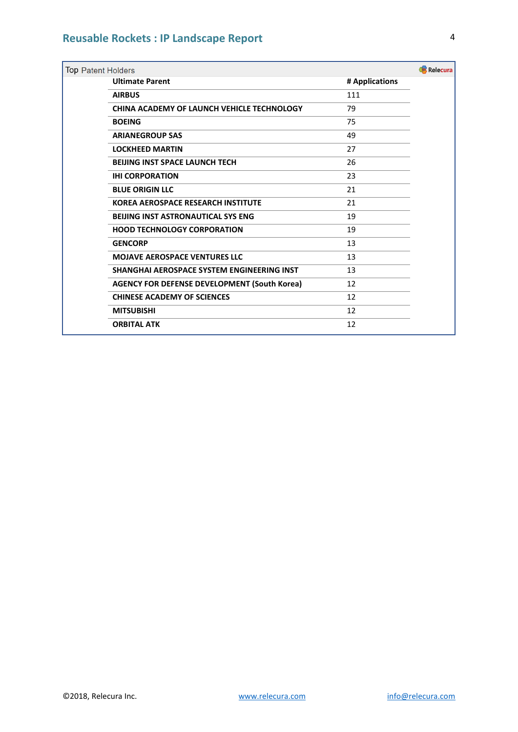| Relecura<br><b>Top Patent Holders</b> |                                                     |                |  |  |
|---------------------------------------|-----------------------------------------------------|----------------|--|--|
|                                       | <b>Ultimate Parent</b>                              | # Applications |  |  |
|                                       | <b>AIRBUS</b>                                       | 111            |  |  |
|                                       | <b>CHINA ACADEMY OF LAUNCH VEHICLE TECHNOLOGY</b>   | 79             |  |  |
|                                       | <b>BOEING</b>                                       | 75             |  |  |
|                                       | <b>ARIANEGROUP SAS</b>                              | 49             |  |  |
|                                       | <b>LOCKHEED MARTIN</b>                              | 27             |  |  |
|                                       | <b>BEIJING INST SPACE LAUNCH TECH</b>               | 26             |  |  |
|                                       | <b>IHI CORPORATION</b>                              | 23             |  |  |
|                                       | <b>BLUE ORIGIN LLC</b>                              | 21             |  |  |
|                                       | <b>KOREA AEROSPACE RESEARCH INSTITUTE</b>           | 21             |  |  |
|                                       | <b>BEIJING INST ASTRONAUTICAL SYS ENG</b>           | 19             |  |  |
|                                       | <b>HOOD TECHNOLOGY CORPORATION</b>                  | 19             |  |  |
|                                       | <b>GENCORP</b>                                      | 13             |  |  |
|                                       | <b>MOJAVE AEROSPACE VENTURES LLC</b>                | 13             |  |  |
|                                       | SHANGHAI AEROSPACE SYSTEM ENGINEERING INST          | 13             |  |  |
|                                       | <b>AGENCY FOR DEFENSE DEVELOPMENT (South Korea)</b> | 12             |  |  |
|                                       | <b>CHINESE ACADEMY OF SCIENCES</b>                  | 12             |  |  |
|                                       | <b>MITSUBISHI</b>                                   | 12             |  |  |
|                                       | <b>ORBITAL ATK</b>                                  | 12             |  |  |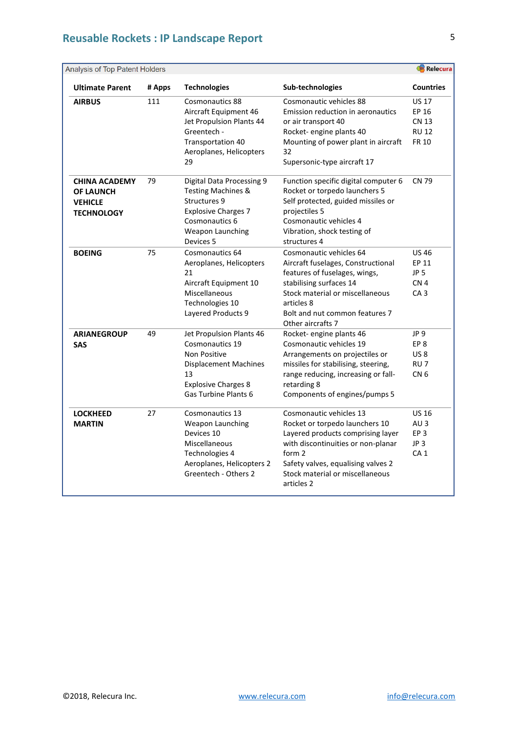| Analysis of Top Patent Holders                                                  |        |                                                                                                                                                                    | Relecura                                                                                                                                                                                                                              |                                                                                          |
|---------------------------------------------------------------------------------|--------|--------------------------------------------------------------------------------------------------------------------------------------------------------------------|---------------------------------------------------------------------------------------------------------------------------------------------------------------------------------------------------------------------------------------|------------------------------------------------------------------------------------------|
| <b>Ultimate Parent</b>                                                          | # Apps | <b>Technologies</b>                                                                                                                                                | Sub-technologies                                                                                                                                                                                                                      | <b>Countries</b>                                                                         |
| <b>AIRBUS</b>                                                                   | 111    | <b>Cosmonautics 88</b><br>Aircraft Equipment 46<br>Jet Propulsion Plants 44<br>Greentech -<br>Transportation 40<br>Aeroplanes, Helicopters<br>29                   | Cosmonautic vehicles 88<br><b>Emission reduction in aeronautics</b><br>or air transport 40<br>Rocket- engine plants 40<br>Mounting of power plant in aircraft<br>32<br>Supersonic-type aircraft 17                                    | <b>US 17</b><br>EP 16<br><b>CN 13</b><br><b>RU 12</b><br>FR 10                           |
| <b>CHINA ACADEMY</b><br><b>OF LAUNCH</b><br><b>VEHICLE</b><br><b>TECHNOLOGY</b> | 79     | <b>Digital Data Processing 9</b><br><b>Testing Machines &amp;</b><br>Structures 9<br><b>Explosive Charges 7</b><br>Cosmonautics 6<br>Weapon Launching<br>Devices 5 | Function specific digital computer 6<br>Rocket or torpedo launchers 5<br>Self protected, guided missiles or<br>projectiles 5<br>Cosmonautic vehicles 4<br>Vibration, shock testing of<br>structures 4                                 | <b>CN 79</b>                                                                             |
| <b>BOEING</b>                                                                   | 75     | Cosmonautics 64<br>Aeroplanes, Helicopters<br>21<br>Aircraft Equipment 10<br>Miscellaneous<br>Technologies 10<br>Layered Products 9                                | Cosmonautic vehicles 64<br>Aircraft fuselages, Constructional<br>features of fuselages, wings,<br>stabilising surfaces 14<br>Stock material or miscellaneous<br>articles 8<br>Bolt and nut common features 7<br>Other aircrafts 7     | <b>US46</b><br>EP 11<br>JP <sub>5</sub><br>CN <sub>4</sub><br>CA <sub>3</sub>            |
| <b>ARIANEGROUP</b><br><b>SAS</b>                                                | 49     | Jet Propulsion Plants 46<br>Cosmonautics 19<br><b>Non Positive</b><br><b>Displacement Machines</b><br>13<br><b>Explosive Charges 8</b><br>Gas Turbine Plants 6     | Rocket- engine plants 46<br>Cosmonautic vehicles 19<br>Arrangements on projectiles or<br>missiles for stabilising, steering,<br>range reducing, increasing or fall-<br>retarding 8<br>Components of engines/pumps 5                   | JP 9<br>EP <sub>8</sub><br><b>US8</b><br>RU <sub>7</sub><br>CN <sub>6</sub>              |
| <b>LOCKHEED</b><br><b>MARTIN</b>                                                | 27     | Cosmonautics 13<br>Weapon Launching<br>Devices 10<br>Miscellaneous<br>Technologies 4<br>Aeroplanes, Helicopters 2<br>Greentech - Others 2                          | Cosmonautic vehicles 13<br>Rocket or torpedo launchers 10<br>Layered products comprising layer<br>with discontinuities or non-planar<br>form 2<br>Safety valves, equalising valves 2<br>Stock material or miscellaneous<br>articles 2 | <b>US 16</b><br>AU <sub>3</sub><br>EP <sub>3</sub><br>JP <sub>3</sub><br>CA <sub>1</sub> |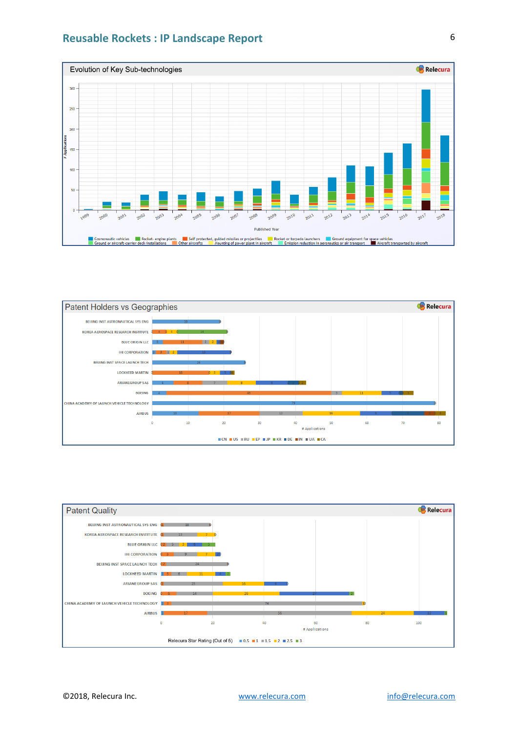



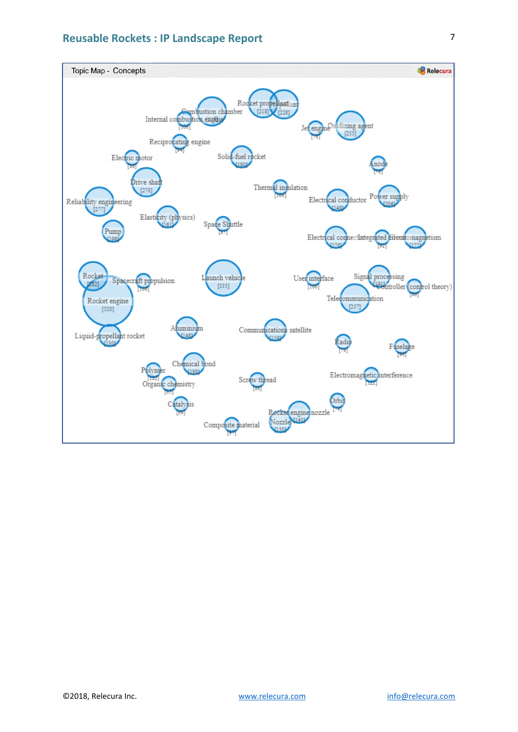